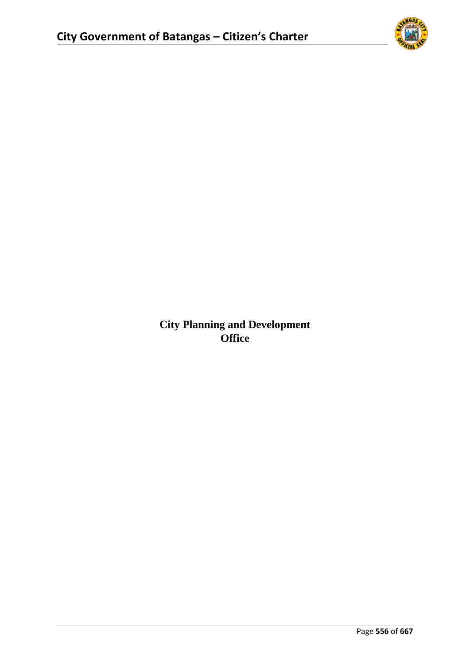

**City Planning and Development Office**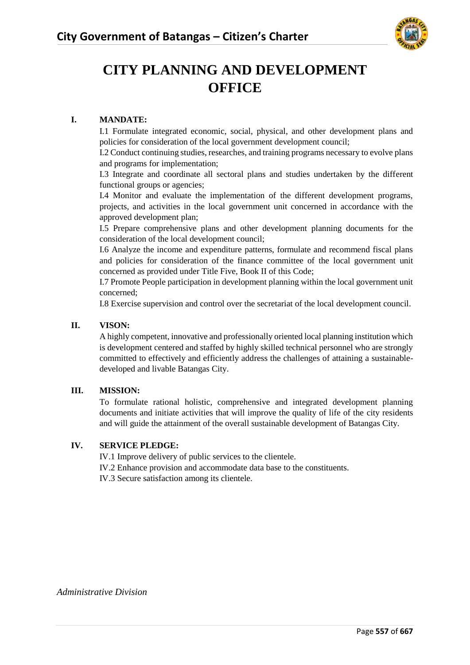

# **CITY PLANNING AND DEVELOPMENT OFFICE**

#### **I. MANDATE:**

I.1 Formulate integrated economic, social, physical, and other development plans and policies for consideration of the local government development council;

I.2 Conduct continuing studies, researches, and training programs necessary to evolve plans and programs for implementation;

I.3 Integrate and coordinate all sectoral plans and studies undertaken by the different functional groups or agencies;

I.4 Monitor and evaluate the implementation of the different development programs, projects, and activities in the local government unit concerned in accordance with the approved development plan;

I.5 Prepare comprehensive plans and other development planning documents for the consideration of the local development council;

I.6 Analyze the income and expenditure patterns, formulate and recommend fiscal plans and policies for consideration of the finance committee of the local government unit concerned as provided under Title Five, Book II of this Code;

I.7 Promote People participation in development planning within the local government unit concerned;

I.8 Exercise supervision and control over the secretariat of the local development council.

#### **II. VISON:**

A highly competent, innovative and professionally oriented local planning institution which is development centered and staffed by highly skilled technical personnel who are strongly committed to effectively and efficiently address the challenges of attaining a sustainabledeveloped and livable Batangas City.

#### **III. MISSION:**

To formulate rational holistic, comprehensive and integrated development planning documents and initiate activities that will improve the quality of life of the city residents and will guide the attainment of the overall sustainable development of Batangas City.

#### **IV. SERVICE PLEDGE:**

IV.1 Improve delivery of public services to the clientele. IV.2 Enhance provision and accommodate data base to the constituents. IV.3 Secure satisfaction among its clientele.

*Administrative Division*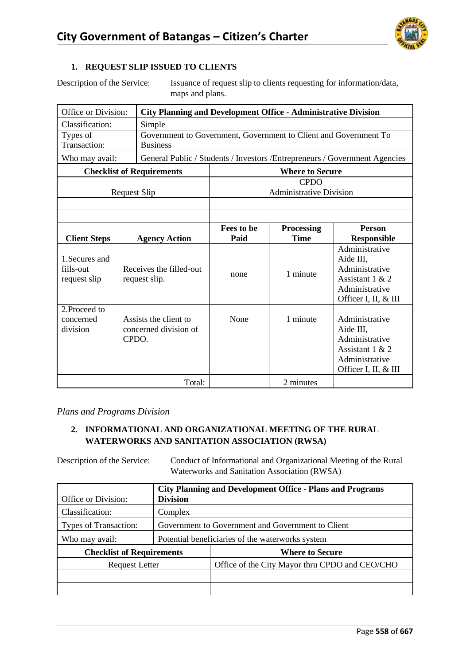

#### **1. REQUEST SLIP ISSUED TO CLIENTS**

Description of the Service: Issuance of request slip to clients requesting for information/data, maps and plans.

| Office or Division:                         | <b>City Planning and Development Office - Administrative Division</b>               |                    |                                               |                                                                                                            |  |  |  |  |
|---------------------------------------------|-------------------------------------------------------------------------------------|--------------------|-----------------------------------------------|------------------------------------------------------------------------------------------------------------|--|--|--|--|
| Classification:                             | Simple                                                                              |                    |                                               |                                                                                                            |  |  |  |  |
| Types of<br>Transaction:                    | Government to Government, Government to Client and Government To<br><b>Business</b> |                    |                                               |                                                                                                            |  |  |  |  |
| Who may avail:                              |                                                                                     |                    |                                               | General Public / Students / Investors / Entrepreneurs / Government Agencies                                |  |  |  |  |
|                                             | <b>Checklist of Requirements</b>                                                    |                    | <b>Where to Secure</b>                        |                                                                                                            |  |  |  |  |
|                                             | <b>Request Slip</b>                                                                 |                    | <b>CPDO</b><br><b>Administrative Division</b> |                                                                                                            |  |  |  |  |
|                                             |                                                                                     |                    |                                               |                                                                                                            |  |  |  |  |
| <b>Client Steps</b>                         | <b>Agency Action</b>                                                                | Fees to be<br>Paid | <b>Processing</b><br><b>Time</b>              | <b>Person</b><br><b>Responsible</b>                                                                        |  |  |  |  |
| 1. Secures and<br>fills-out<br>request slip | Receives the filled-out<br>request slip.                                            | none               | 1 minute                                      | Administrative<br>Aide III.<br>Administrative<br>Assistant 1 & 2<br>Administrative<br>Officer I, II, & III |  |  |  |  |
| 2. Proceed to<br>concerned<br>division      | Assists the client to<br>concerned division of<br>CPDO.                             | None               | 1 minute                                      | Administrative<br>Aide III,<br>Administrative<br>Assistant 1 & 2<br>Administrative<br>Officer I, II, & III |  |  |  |  |
|                                             | Total:                                                                              |                    | 2 minutes                                     |                                                                                                            |  |  |  |  |

*Plans and Programs Division*

# **2. INFORMATIONAL AND ORGANIZATIONAL MEETING OF THE RURAL WATERWORKS AND SANITATION ASSOCIATION (RWSA)**

Description of the Service: Conduct of Informational and Organizational Meeting of the Rural Waterworks and Sanitation Association (RWSA)

| Office or Division:              | <b>Division</b>                                   | <b>City Planning and Development Office - Plans and Programs</b> |  |  |  |  |
|----------------------------------|---------------------------------------------------|------------------------------------------------------------------|--|--|--|--|
| Classification:                  | Complex                                           |                                                                  |  |  |  |  |
| Types of Transaction:            | Government to Government and Government to Client |                                                                  |  |  |  |  |
| Who may avail:                   |                                                   | Potential beneficiaries of the waterworks system                 |  |  |  |  |
| <b>Checklist of Requirements</b> |                                                   | <b>Where to Secure</b>                                           |  |  |  |  |
| <b>Request Letter</b>            |                                                   | Office of the City Mayor thru CPDO and CEO/CHO                   |  |  |  |  |
|                                  |                                                   |                                                                  |  |  |  |  |
|                                  |                                                   |                                                                  |  |  |  |  |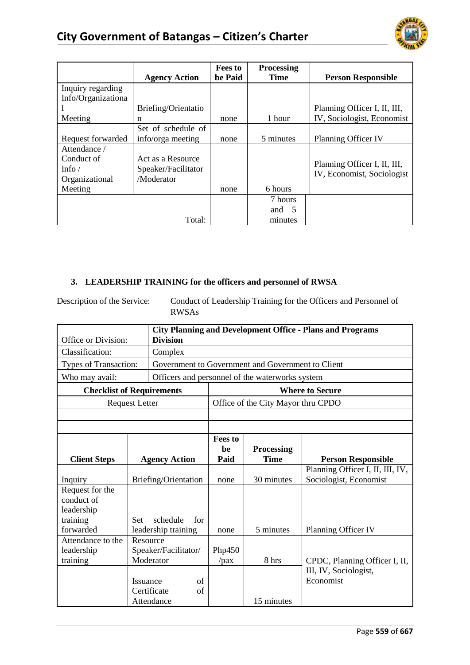

|                    |                      | <b>Fees to</b> | <b>Processing</b> |                              |
|--------------------|----------------------|----------------|-------------------|------------------------------|
|                    | <b>Agency Action</b> | be Paid        | <b>Time</b>       | <b>Person Responsible</b>    |
| Inquiry regarding  |                      |                |                   |                              |
| Info/Organizationa |                      |                |                   |                              |
|                    | Briefing/Orientatio  |                |                   | Planning Officer I, II, III, |
| Meeting            | n                    | none           | 1 hour            | IV, Sociologist, Economist   |
|                    | Set of schedule of   |                |                   |                              |
| Request forwarded  | info/orga meeting    | none           | 5 minutes         | Planning Officer IV          |
| Attendance /       |                      |                |                   |                              |
| Conduct of         | Act as a Resource    |                |                   | Planning Officer I, II, III, |
| Info $/$           | Speaker/Facilitator  |                |                   | IV, Economist, Sociologist   |
| Organizational     | /Moderator           |                |                   |                              |
| Meeting            |                      | none           | 6 hours           |                              |
|                    |                      |                | 7 hours           |                              |
|                    |                      |                | and $5$           |                              |
|                    | Total:               |                | minutes           |                              |

# **3. LEADERSHIP TRAINING for the officers and personnel of RWSA**

Description of the Service: Conduct of Leadership Training for the Officers and Personnel of RWSAs

| Office or Division:              | <b>Division</b> |                      |                              |                                  | <b>City Planning and Development Office - Plans and Programs</b> |                                  |
|----------------------------------|-----------------|----------------------|------------------------------|----------------------------------|------------------------------------------------------------------|----------------------------------|
| Classification:<br>Complex       |                 |                      |                              |                                  |                                                                  |                                  |
| Types of Transaction:            |                 |                      |                              |                                  | Government to Government and Government to Client                |                                  |
| Who may avail:                   |                 |                      |                              |                                  | Officers and personnel of the waterworks system                  |                                  |
| <b>Checklist of Requirements</b> |                 |                      |                              |                                  |                                                                  | <b>Where to Secure</b>           |
| <b>Request Letter</b>            |                 |                      |                              |                                  | Office of the City Mayor thru CPDO                               |                                  |
|                                  |                 |                      |                              |                                  |                                                                  |                                  |
|                                  |                 |                      |                              |                                  |                                                                  |                                  |
| <b>Agency Action</b>             |                 |                      | <b>Fees to</b><br>he<br>Paid | <b>Processing</b><br><b>Time</b> | <b>Person Responsible</b>                                        |                                  |
| <b>Client Steps</b>              |                 |                      |                              |                                  |                                                                  | Planning Officer I, II, III, IV, |
| Inquiry                          |                 | Briefing/Orientation |                              | none                             | 30 minutes                                                       | Sociologist, Economist           |
| Request for the                  |                 |                      |                              |                                  |                                                                  |                                  |
| conduct of                       |                 |                      |                              |                                  |                                                                  |                                  |
| leadership<br>training           | <b>Set</b>      | schedule             | for                          |                                  |                                                                  |                                  |
| forwarded                        |                 | leadership training  |                              | none                             | 5 minutes                                                        | Planning Officer IV              |
| Attendance to the                |                 | Resource             |                              |                                  |                                                                  |                                  |
| leadership                       |                 | Speaker/Facilitator/ |                              | Php450                           |                                                                  |                                  |
| training                         |                 | Moderator            |                              | / <i>pa</i>                      | 8 hrs                                                            | CPDC, Planning Officer I, II,    |
|                                  |                 |                      |                              |                                  |                                                                  | III, IV, Sociologist,            |
|                                  | <b>Issuance</b> |                      | of                           |                                  |                                                                  | Economist                        |
|                                  |                 | Certificate          | of                           |                                  |                                                                  |                                  |
|                                  |                 | Attendance           |                              |                                  | 15 minutes                                                       |                                  |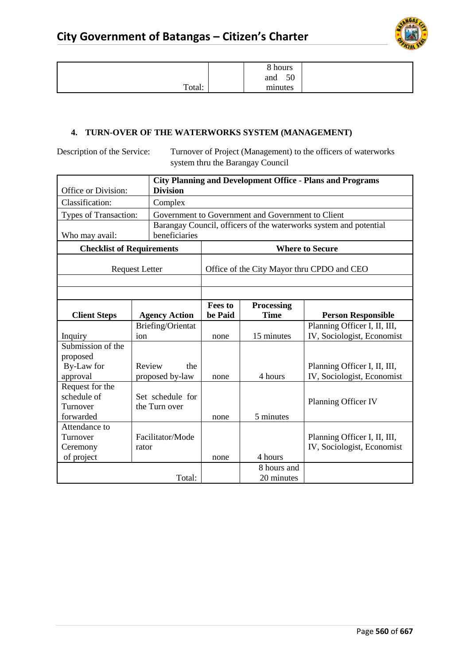

|        | 8 hours<br>50<br>and |  |
|--------|----------------------|--|
| Total: | minutes              |  |

# **4. TURN-OVER OF THE WATERWORKS SYSTEM (MANAGEMENT)**

Description of the Service: Turnover of Project (Management) to the officers of waterworks system thru the Barangay Council

| Office or Division:              |                       | <b>Division</b>      |                                            |                                                   | <b>City Planning and Development Office - Plans and Programs</b>  |  |  |
|----------------------------------|-----------------------|----------------------|--------------------------------------------|---------------------------------------------------|-------------------------------------------------------------------|--|--|
| Classification:                  |                       | Complex              |                                            |                                                   |                                                                   |  |  |
|                                  |                       |                      |                                            | Government to Government and Government to Client |                                                                   |  |  |
| Types of Transaction:            |                       |                      |                                            |                                                   | Barangay Council, officers of the waterworks system and potential |  |  |
| Who may avail:                   |                       | beneficiaries        |                                            |                                                   |                                                                   |  |  |
| <b>Checklist of Requirements</b> |                       |                      |                                            |                                                   | <b>Where to Secure</b>                                            |  |  |
|                                  | <b>Request Letter</b> |                      | Office of the City Mayor thru CPDO and CEO |                                                   |                                                                   |  |  |
|                                  |                       |                      |                                            |                                                   |                                                                   |  |  |
|                                  |                       |                      |                                            |                                                   |                                                                   |  |  |
|                                  |                       |                      | <b>Fees to</b>                             | <b>Processing</b>                                 |                                                                   |  |  |
| <b>Client Steps</b>              |                       | <b>Agency Action</b> | be Paid                                    | <b>Time</b>                                       | <b>Person Responsible</b>                                         |  |  |
|                                  |                       | Briefing/Orientat    |                                            |                                                   | Planning Officer I, II, III,                                      |  |  |
| Inquiry                          | ion                   |                      | none                                       | 15 minutes                                        | IV, Sociologist, Economist                                        |  |  |
| Submission of the                |                       |                      |                                            |                                                   |                                                                   |  |  |
| proposed                         |                       |                      |                                            |                                                   |                                                                   |  |  |
| By-Law for                       | Review                | the                  |                                            |                                                   | Planning Officer I, II, III,                                      |  |  |
| approval                         |                       | proposed by-law      | none                                       | 4 hours                                           | IV, Sociologist, Economist                                        |  |  |
| Request for the                  |                       |                      |                                            |                                                   |                                                                   |  |  |
| schedule of                      |                       | Set schedule for     |                                            |                                                   | Planning Officer IV                                               |  |  |
| Turnover                         |                       | the Turn over        |                                            |                                                   |                                                                   |  |  |
| forwarded                        |                       |                      | none                                       | 5 minutes                                         |                                                                   |  |  |
| Attendance to                    |                       |                      |                                            |                                                   |                                                                   |  |  |
| Turnover                         |                       | Facilitator/Mode     |                                            |                                                   | Planning Officer I, II, III,                                      |  |  |
| Ceremony                         | rator                 |                      |                                            |                                                   | IV, Sociologist, Economist                                        |  |  |
| of project                       |                       |                      | none                                       | 4 hours                                           |                                                                   |  |  |
|                                  |                       |                      |                                            | 8 hours and                                       |                                                                   |  |  |
|                                  |                       | Total:               |                                            | 20 minutes                                        |                                                                   |  |  |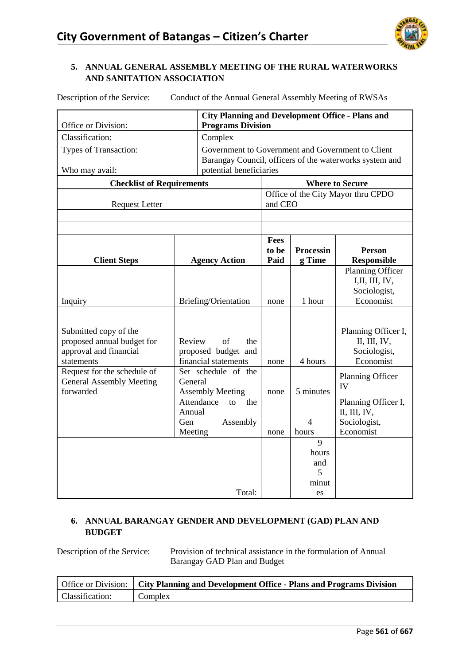

### **5. ANNUAL GENERAL ASSEMBLY MEETING OF THE RURAL WATERWORKS AND SANITATION ASSOCIATION**

|                                                                | <b>City Planning and Development Office - Plans and</b> |            |                                                   |         |                  |                                                         |  |  |  |
|----------------------------------------------------------------|---------------------------------------------------------|------------|---------------------------------------------------|---------|------------------|---------------------------------------------------------|--|--|--|
| Office or Division:                                            |                                                         |            | <b>Programs Division</b>                          |         |                  |                                                         |  |  |  |
| Classification:                                                |                                                         | Complex    |                                                   |         |                  |                                                         |  |  |  |
| Types of Transaction:                                          |                                                         |            | Government to Government and Government to Client |         |                  |                                                         |  |  |  |
|                                                                |                                                         |            |                                                   |         |                  | Barangay Council, officers of the waterworks system and |  |  |  |
| Who may avail:                                                 |                                                         |            | potential beneficiaries                           |         |                  |                                                         |  |  |  |
| <b>Checklist of Requirements</b>                               |                                                         |            |                                                   |         |                  | <b>Where to Secure</b>                                  |  |  |  |
|                                                                |                                                         |            |                                                   |         |                  | Office of the City Mayor thru CPDO                      |  |  |  |
| <b>Request Letter</b>                                          |                                                         |            |                                                   | and CEO |                  |                                                         |  |  |  |
|                                                                |                                                         |            |                                                   |         |                  |                                                         |  |  |  |
|                                                                |                                                         |            |                                                   |         |                  |                                                         |  |  |  |
|                                                                |                                                         |            |                                                   | Fees    |                  |                                                         |  |  |  |
|                                                                |                                                         |            |                                                   | to be   | <b>Processin</b> | <b>Person</b>                                           |  |  |  |
| <b>Client Steps</b>                                            |                                                         |            | <b>Agency Action</b>                              | Paid    | g Time           | <b>Responsible</b>                                      |  |  |  |
|                                                                |                                                         |            |                                                   |         |                  | Planning Officer<br>I, II, III, IV,                     |  |  |  |
|                                                                |                                                         |            |                                                   |         |                  | Sociologist,                                            |  |  |  |
| Inquiry                                                        |                                                         |            | Briefing/Orientation                              | none    | 1 hour           | Economist                                               |  |  |  |
|                                                                |                                                         |            |                                                   |         |                  |                                                         |  |  |  |
|                                                                |                                                         |            |                                                   |         |                  |                                                         |  |  |  |
| Submitted copy of the                                          |                                                         |            |                                                   |         |                  | Planning Officer I,                                     |  |  |  |
| proposed annual budget for                                     | Review                                                  |            | of<br>the                                         |         |                  | II, III, IV,                                            |  |  |  |
| approval and financial                                         |                                                         |            | proposed budget and                               |         |                  | Sociologist,                                            |  |  |  |
| statements                                                     |                                                         |            | financial statements<br>Set schedule of the       | none    | 4 hours          | Economist                                               |  |  |  |
| Request for the schedule of<br><b>General Assembly Meeting</b> | General                                                 |            |                                                   |         |                  | Planning Officer                                        |  |  |  |
| forwarded                                                      |                                                         |            | <b>Assembly Meeting</b>                           | none    | 5 minutes        | IV                                                      |  |  |  |
|                                                                |                                                         | Attendance | the<br>to                                         |         |                  | Planning Officer I,                                     |  |  |  |
|                                                                | Annual                                                  |            |                                                   |         |                  | II, III, IV,                                            |  |  |  |
|                                                                | Gen                                                     |            | Assembly                                          |         | $\overline{4}$   | Sociologist,                                            |  |  |  |
|                                                                | Meeting                                                 |            |                                                   | none    | hours            | Economist                                               |  |  |  |
|                                                                |                                                         |            |                                                   |         | $\overline{9}$   |                                                         |  |  |  |
|                                                                |                                                         |            |                                                   |         | hours            |                                                         |  |  |  |
|                                                                |                                                         |            |                                                   |         | and              |                                                         |  |  |  |
|                                                                |                                                         |            |                                                   |         | 5                |                                                         |  |  |  |
|                                                                |                                                         |            | Total:                                            |         | minut            |                                                         |  |  |  |
|                                                                |                                                         |            |                                                   |         | es               |                                                         |  |  |  |

Description of the Service: Conduct of the Annual General Assembly Meeting of RWSAs

#### **6. ANNUAL BARANGAY GENDER AND DEVELOPMENT (GAD) PLAN AND BUDGET**

Description of the Service: Provision of technical assistance in the formulation of Annual Barangay GAD Plan and Budget

|                 | Office or Division:   City Planning and Development Office - Plans and Programs Division |
|-----------------|------------------------------------------------------------------------------------------|
| Classification: | Complex                                                                                  |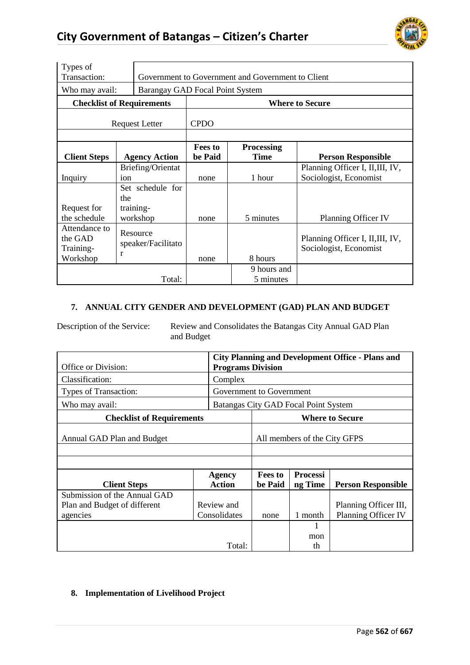

| Types of<br>Transaction:         |     |                                 |                           | Government to Government and Government to Client |                                  |
|----------------------------------|-----|---------------------------------|---------------------------|---------------------------------------------------|----------------------------------|
| Who may avail:                   |     | Barangay GAD Focal Point System |                           |                                                   |                                  |
| <b>Checklist of Requirements</b> |     |                                 |                           |                                                   | <b>Where to Secure</b>           |
| <b>Request Letter</b>            |     | <b>CPDO</b>                     |                           |                                                   |                                  |
| <b>Client Steps</b>              |     | <b>Agency Action</b>            | <b>Fees to</b><br>be Paid | <b>Processing</b><br><b>Time</b>                  | <b>Person Responsible</b>        |
|                                  |     | Briefing/Orientat               |                           |                                                   | Planning Officer I, II, III, IV, |
| Inquiry                          | ion |                                 | none                      | 1 hour                                            | Sociologist, Economist           |
|                                  |     | Set schedule for                |                           |                                                   |                                  |
|                                  | the |                                 |                           |                                                   |                                  |
| Request for                      |     | training-                       |                           |                                                   |                                  |
| the schedule                     |     | workshop                        | none                      | 5 minutes                                         | Planning Officer IV              |
| Attendance to                    |     | Resource                        |                           |                                                   |                                  |
| the GAD                          |     |                                 |                           |                                                   | Planning Officer I, II, III, IV, |
| Training-                        |     | speaker/Facilitato              |                           |                                                   | Sociologist, Economist           |
| Workshop                         | r   |                                 | none                      | 8 hours                                           |                                  |
|                                  |     |                                 |                           | 9 hours and                                       |                                  |
|                                  |     | Total:                          |                           | 5 minutes                                         |                                  |

#### **7. ANNUAL CITY GENDER AND DEVELOPMENT (GAD) PLAN AND BUDGET**

Description of the Service: Review and Consolidates the Batangas City Annual GAD Plan and Budget

|                                  | <b>City Planning and Development Office - Plans and</b> |                                |                           |                                      |                           |
|----------------------------------|---------------------------------------------------------|--------------------------------|---------------------------|--------------------------------------|---------------------------|
| Office or Division:              | <b>Programs Division</b>                                |                                |                           |                                      |                           |
| Classification:                  |                                                         | Complex                        |                           |                                      |                           |
| Types of Transaction:            |                                                         | Government to Government       |                           |                                      |                           |
| Who may avail:                   |                                                         |                                |                           | Batangas City GAD Focal Point System |                           |
| <b>Checklist of Requirements</b> |                                                         | <b>Where to Secure</b>         |                           |                                      |                           |
| Annual GAD Plan and Budget       |                                                         | All members of the City GFPS   |                           |                                      |                           |
|                                  |                                                         |                                |                           |                                      |                           |
|                                  |                                                         |                                |                           |                                      |                           |
| <b>Client Steps</b>              |                                                         | <b>Agency</b><br><b>Action</b> | <b>Fees to</b><br>be Paid | <b>Processi</b><br>ng Time           | <b>Person Responsible</b> |
| Submission of the Annual GAD     |                                                         |                                |                           |                                      |                           |
| Plan and Budget of different     |                                                         | Review and                     |                           |                                      | Planning Officer III,     |
| agencies                         |                                                         | Consolidates                   | none                      | 1 month                              | Planning Officer IV       |
|                                  |                                                         |                                |                           | 1                                    |                           |
|                                  |                                                         |                                |                           | mon                                  |                           |
|                                  |                                                         | th                             |                           |                                      |                           |

### **8. Implementation of Livelihood Project**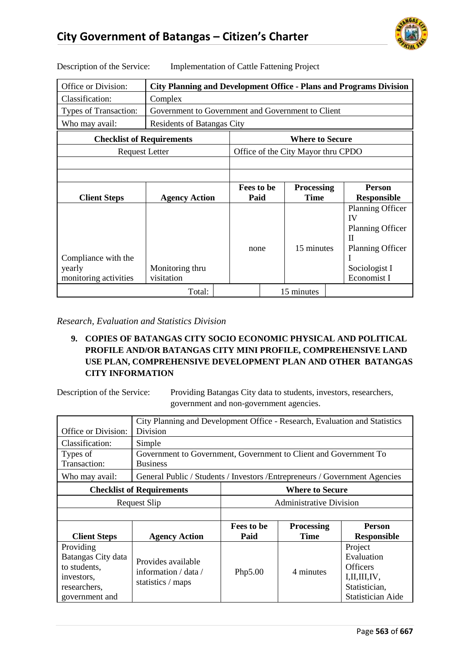

| Office or Division:                                    | <b>City Planning and Development Office - Plans and Programs Division</b> |            |                        |                                    |  |                                                                                                                   |  |  |
|--------------------------------------------------------|---------------------------------------------------------------------------|------------|------------------------|------------------------------------|--|-------------------------------------------------------------------------------------------------------------------|--|--|
| Classification:                                        | Complex                                                                   |            |                        |                                    |  |                                                                                                                   |  |  |
| Types of Transaction:                                  | Government to Government and Government to Client                         |            |                        |                                    |  |                                                                                                                   |  |  |
| Who may avail:                                         | Residents of Batangas City                                                |            |                        |                                    |  |                                                                                                                   |  |  |
| <b>Checklist of Requirements</b>                       |                                                                           |            | <b>Where to Secure</b> |                                    |  |                                                                                                                   |  |  |
| <b>Request Letter</b>                                  |                                                                           |            |                        | Office of the City Mayor thru CPDO |  |                                                                                                                   |  |  |
|                                                        |                                                                           |            |                        |                                    |  |                                                                                                                   |  |  |
|                                                        |                                                                           |            |                        |                                    |  |                                                                                                                   |  |  |
|                                                        |                                                                           | Fees to be |                        | <b>Processing</b>                  |  | <b>Person</b>                                                                                                     |  |  |
| <b>Client Steps</b>                                    | <b>Agency Action</b>                                                      | Paid       |                        | <b>Time</b>                        |  | <b>Responsible</b>                                                                                                |  |  |
| Compliance with the<br>yearly<br>monitoring activities | Monitoring thru<br>visitation                                             | none       |                        | 15 minutes                         |  | <b>Planning Officer</b><br>IV<br><b>Planning Officer</b><br>П<br>Planning Officer<br>Sociologist I<br>Economist I |  |  |
|                                                        | Total:                                                                    |            |                        |                                    |  |                                                                                                                   |  |  |

Description of the Service: Implementation of Cattle Fattening Project

*Research, Evaluation and Statistics Division*

### **9. COPIES OF BATANGAS CITY SOCIO ECONOMIC PHYSICAL AND POLITICAL PROFILE AND/OR BATANGAS CITY MINI PROFILE, COMPREHENSIVE LAND USE PLAN, COMPREHENSIVE DEVELOPMENT PLAN AND OTHER BATANGAS CITY INFORMATION**

Description of the Service: Providing Batangas City data to students, investors, researchers, government and non-government agencies.

| Office or Division:                                                                             | City Planning and Development Office - Research, Evaluation and Statistics<br>Division |                                |                                  |                                                                                                          |  |  |  |
|-------------------------------------------------------------------------------------------------|----------------------------------------------------------------------------------------|--------------------------------|----------------------------------|----------------------------------------------------------------------------------------------------------|--|--|--|
| Classification:                                                                                 | Simple                                                                                 |                                |                                  |                                                                                                          |  |  |  |
| Types of<br>Transaction:                                                                        | Government to Government, Government to Client and Government To<br><b>Business</b>    |                                |                                  |                                                                                                          |  |  |  |
| Who may avail:                                                                                  | General Public / Students / Investors / Entrepreneurs / Government Agencies            |                                |                                  |                                                                                                          |  |  |  |
|                                                                                                 | <b>Checklist of Requirements</b>                                                       | <b>Where to Secure</b>         |                                  |                                                                                                          |  |  |  |
|                                                                                                 | Request Slip                                                                           | <b>Administrative Division</b> |                                  |                                                                                                          |  |  |  |
|                                                                                                 |                                                                                        |                                |                                  |                                                                                                          |  |  |  |
| <b>Client Steps</b>                                                                             | <b>Agency Action</b>                                                                   | Fees to be<br>Paid             | <b>Processing</b><br><b>Time</b> | <b>Person</b><br><b>Responsible</b>                                                                      |  |  |  |
| Providing<br>Batangas City data<br>to students,<br>investors.<br>researchers,<br>government and | Provides available<br>information $/$ data $/$<br>statistics / maps                    | Php5.00                        | 4 minutes                        | Project<br>Evaluation<br><b>Officers</b><br>I, II, III, IV,<br>Statistician,<br><b>Statistician Aide</b> |  |  |  |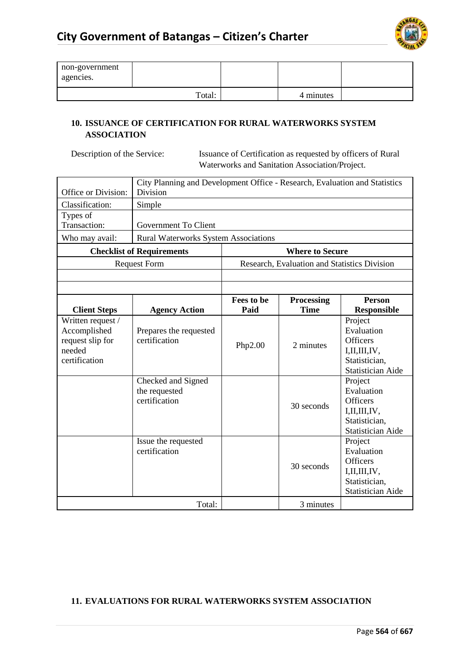

| non-government<br>agencies. |        |           |  |
|-----------------------------|--------|-----------|--|
|                             | Total: | 4 minutes |  |

#### **10. ISSUANCE OF CERTIFICATION FOR RURAL WATERWORKS SYSTEM ASSOCIATION**

Description of the Service: Issuance of Certification as requested by officers of Rural Waterworks and Sanitation Association/Project.

| Office or Division:                                                              | City Planning and Development Office - Research, Evaluation and Statistics<br>Division |                    |                                              |                                                                                                          |  |  |  |
|----------------------------------------------------------------------------------|----------------------------------------------------------------------------------------|--------------------|----------------------------------------------|----------------------------------------------------------------------------------------------------------|--|--|--|
| Classification:                                                                  | Simple                                                                                 |                    |                                              |                                                                                                          |  |  |  |
| Types of<br>Transaction:                                                         | Government To Client                                                                   |                    |                                              |                                                                                                          |  |  |  |
| Who may avail:                                                                   | <b>Rural Waterworks System Associations</b>                                            |                    |                                              |                                                                                                          |  |  |  |
|                                                                                  | <b>Checklist of Requirements</b>                                                       |                    | <b>Where to Secure</b>                       |                                                                                                          |  |  |  |
|                                                                                  | <b>Request Form</b>                                                                    |                    | Research, Evaluation and Statistics Division |                                                                                                          |  |  |  |
|                                                                                  |                                                                                        |                    |                                              |                                                                                                          |  |  |  |
|                                                                                  |                                                                                        |                    |                                              |                                                                                                          |  |  |  |
| <b>Client Steps</b>                                                              | <b>Agency Action</b>                                                                   | Fees to be<br>Paid | <b>Processing</b><br><b>Time</b>             | <b>Person</b><br><b>Responsible</b>                                                                      |  |  |  |
| Written request /<br>Accomplished<br>request slip for<br>needed<br>certification | Prepares the requested<br>certification                                                | Php2.00            | 2 minutes                                    | Project<br>Evaluation<br><b>Officers</b><br>I, II, III, IV,<br>Statistician,<br>Statistician Aide        |  |  |  |
|                                                                                  | Checked and Signed<br>the requested<br>certification                                   |                    | 30 seconds                                   | Project<br>Evaluation<br><b>Officers</b><br>I, II, III, IV,<br>Statistician,<br><b>Statistician Aide</b> |  |  |  |
|                                                                                  | Issue the requested<br>certification                                                   |                    | 30 seconds                                   | Project<br>Evaluation<br><b>Officers</b><br>I, II, III, IV,<br>Statistician,<br>Statistician Aide        |  |  |  |
|                                                                                  | Total:                                                                                 |                    | 3 minutes                                    |                                                                                                          |  |  |  |

### **11. EVALUATIONS FOR RURAL WATERWORKS SYSTEM ASSOCIATION**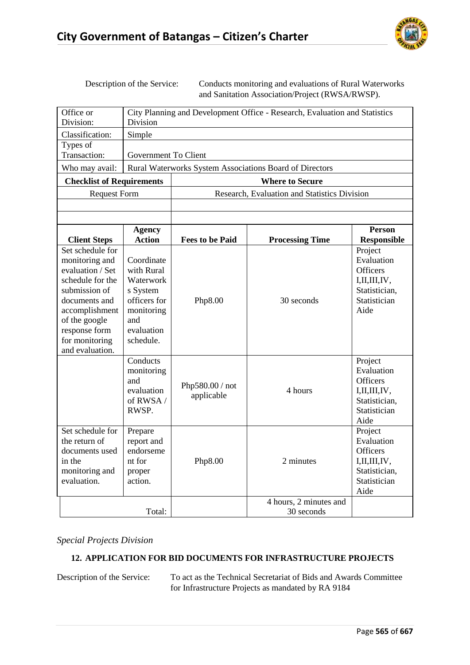

Description of the Service: Conducts monitoring and evaluations of Rural Waterworks and Sanitation Association/Project (RWSA/RWSP).

| Office or                                                                                                                                                                                             | City Planning and Development Office - Research, Evaluation and Statistics                                                    |                               |                                                         |                                                                                                                 |  |  |
|-------------------------------------------------------------------------------------------------------------------------------------------------------------------------------------------------------|-------------------------------------------------------------------------------------------------------------------------------|-------------------------------|---------------------------------------------------------|-----------------------------------------------------------------------------------------------------------------|--|--|
| Division:                                                                                                                                                                                             | Division                                                                                                                      |                               |                                                         |                                                                                                                 |  |  |
| Classification:                                                                                                                                                                                       | Simple                                                                                                                        |                               |                                                         |                                                                                                                 |  |  |
| Types of                                                                                                                                                                                              |                                                                                                                               |                               |                                                         |                                                                                                                 |  |  |
| Transaction:                                                                                                                                                                                          | <b>Government To Client</b>                                                                                                   |                               |                                                         |                                                                                                                 |  |  |
| Who may avail:                                                                                                                                                                                        |                                                                                                                               |                               | Rural Waterworks System Associations Board of Directors |                                                                                                                 |  |  |
| <b>Checklist of Requirements</b>                                                                                                                                                                      |                                                                                                                               |                               | <b>Where to Secure</b>                                  |                                                                                                                 |  |  |
| <b>Request Form</b>                                                                                                                                                                                   |                                                                                                                               |                               | Research, Evaluation and Statistics Division            |                                                                                                                 |  |  |
|                                                                                                                                                                                                       |                                                                                                                               |                               |                                                         |                                                                                                                 |  |  |
|                                                                                                                                                                                                       |                                                                                                                               |                               |                                                         |                                                                                                                 |  |  |
|                                                                                                                                                                                                       | <b>Agency</b>                                                                                                                 |                               |                                                         | <b>Person</b>                                                                                                   |  |  |
| <b>Client Steps</b>                                                                                                                                                                                   | <b>Action</b>                                                                                                                 | <b>Fees to be Paid</b>        | <b>Processing Time</b>                                  | <b>Responsible</b>                                                                                              |  |  |
| Set schedule for<br>monitoring and<br>evaluation / Set<br>schedule for the<br>submission of<br>documents and<br>accomplishment<br>of the google<br>response form<br>for monitoring<br>and evaluation. | Coordinate<br>with Rural<br>Waterwork<br>s System<br>officers for<br>monitoring<br>and<br>evaluation<br>schedule.<br>Conducts | Php8.00                       | 30 seconds                                              | Project<br>Evaluation<br><b>Officers</b><br>I, II, III, IV,<br>Statistician,<br>Statistician<br>Aide<br>Project |  |  |
|                                                                                                                                                                                                       | monitoring<br>and<br>evaluation<br>of RWSA /<br>RWSP.                                                                         | Php580.00 / not<br>applicable | 4 hours                                                 | Evaluation<br><b>Officers</b><br>I, II, III, IV,<br>Statistician,<br>Statistician<br>Aide                       |  |  |
| Set schedule for<br>the return of<br>documents used<br>in the<br>monitoring and<br>evaluation.                                                                                                        | Prepare<br>report and<br>endorseme<br>nt for<br>proper<br>action.                                                             | Php8.00                       | 2 minutes<br>4 hours, 2 minutes and                     | Project<br>Evaluation<br><b>Officers</b><br>I, II, III, IV,<br>Statistician,<br>Statistician<br>Aide            |  |  |
|                                                                                                                                                                                                       | Total:                                                                                                                        |                               | 30 seconds                                              |                                                                                                                 |  |  |

*Special Projects Division*

## **12. APPLICATION FOR BID DOCUMENTS FOR INFRASTRUCTURE PROJECTS**

Description of the Service: To act as the Technical Secretariat of Bids and Awards Committee for Infrastructure Projects as mandated by RA 9184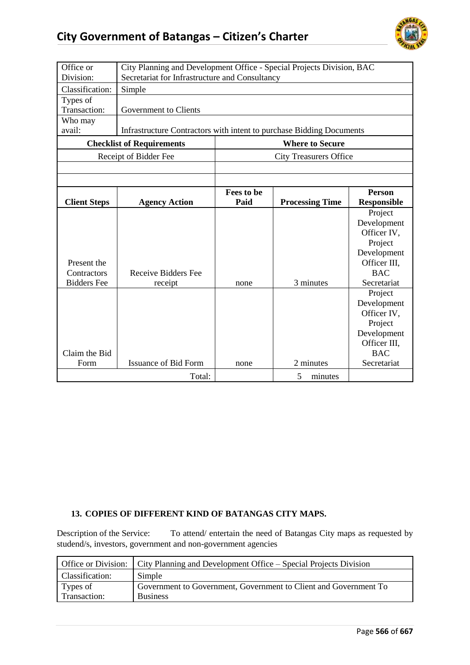

| Office or<br>Division:                           | City Planning and Development Office - Special Projects Division, BAC<br>Secretariat for Infrastructure and Consultancy |                    |                               |                                                                                                              |  |
|--------------------------------------------------|-------------------------------------------------------------------------------------------------------------------------|--------------------|-------------------------------|--------------------------------------------------------------------------------------------------------------|--|
| Classification:                                  | Simple                                                                                                                  |                    |                               |                                                                                                              |  |
| Types of<br>Transaction:                         | Government to Clients                                                                                                   |                    |                               |                                                                                                              |  |
| Who may<br>avail:                                | Infrastructure Contractors with intent to purchase Bidding Documents                                                    |                    |                               |                                                                                                              |  |
|                                                  | <b>Checklist of Requirements</b>                                                                                        |                    | <b>Where to Secure</b>        |                                                                                                              |  |
|                                                  | Receipt of Bidder Fee                                                                                                   |                    | <b>City Treasurers Office</b> |                                                                                                              |  |
|                                                  |                                                                                                                         |                    |                               |                                                                                                              |  |
|                                                  |                                                                                                                         |                    |                               |                                                                                                              |  |
| <b>Client Steps</b>                              | <b>Agency Action</b>                                                                                                    | Fees to be<br>Paid | <b>Processing Time</b>        | <b>Person</b><br><b>Responsible</b>                                                                          |  |
| Present the<br>Contractors<br><b>Bidders</b> Fee | <b>Receive Bidders Fee</b><br>receipt                                                                                   | none               | 3 minutes                     | Project<br>Development<br>Officer IV,<br>Project<br>Development<br>Officer III,<br><b>BAC</b><br>Secretariat |  |
| Claim the Bid<br>Form                            | <b>Issuance of Bid Form</b>                                                                                             | none               | 2 minutes                     | Project<br>Development<br>Officer IV,<br>Project<br>Development<br>Officer III.<br><b>BAC</b><br>Secretariat |  |
|                                                  | Total:                                                                                                                  |                    | 5<br>minutes                  |                                                                                                              |  |

#### **13. COPIES OF DIFFERENT KIND OF BATANGAS CITY MAPS.**

Description of the Service: To attend/ entertain the need of Batangas City maps as requested by studend/s, investors, government and non-government agencies

|                 | Office or Division: City Planning and Development Office – Special Projects Division |
|-----------------|--------------------------------------------------------------------------------------|
| Classification: | Simple                                                                               |
| Types of        | Government to Government, Government to Client and Government To                     |
| Transaction:    | <b>Business</b>                                                                      |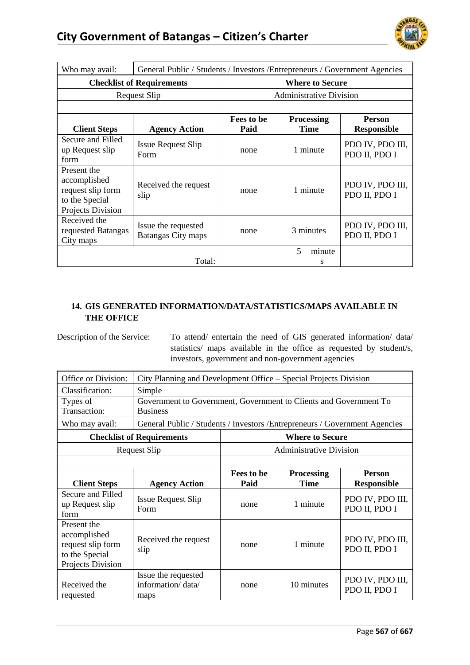

| Who may avail:                                                                          | General Public / Students / Investors / Entrepreneurs / Government Agencies |                    |                                         |                                     |  |
|-----------------------------------------------------------------------------------------|-----------------------------------------------------------------------------|--------------------|-----------------------------------------|-------------------------------------|--|
|                                                                                         | <b>Checklist of Requirements</b>                                            |                    | <b>Where to Secure</b>                  |                                     |  |
|                                                                                         | <b>Request Slip</b>                                                         |                    | <b>Administrative Division</b>          |                                     |  |
|                                                                                         |                                                                             |                    |                                         |                                     |  |
| <b>Client Steps</b>                                                                     | <b>Agency Action</b>                                                        | Fees to be<br>Paid | <b>Processing</b><br><b>Time</b>        | <b>Person</b><br><b>Responsible</b> |  |
| Secure and Filled<br>up Request slip<br>form                                            | <b>Issue Request Slip</b><br>Form                                           | none               | 1 minute                                | PDO IV, PDO III,<br>PDO II, PDO I   |  |
| Present the<br>accomplished<br>request slip form<br>to the Special<br>Projects Division | Received the request<br>slip                                                | none               | 1 minute                                | PDO IV, PDO III,<br>PDO II, PDO I   |  |
| Received the<br>requested Batangas<br>City maps                                         | Issue the requested<br><b>Batangas City maps</b>                            | none               | 3 minutes                               | PDO IV, PDO III,<br>PDO II, PDO I   |  |
|                                                                                         | Total:                                                                      |                    | $\overline{\phantom{0}}$<br>minute<br>s |                                     |  |

## **14. GIS GENERATED INFORMATION/DATA/STATISTICS/MAPS AVAILABLE IN THE OFFICE**

Description of the Service: To attend/ entertain the need of GIS generated information/ data/ statistics/ maps available in the office as requested by student/s, investors, government and non-government agencies

| Office or Division:                                                                     | City Planning and Development Office – Special Projects Division            |                                   |                                |                                   |  |
|-----------------------------------------------------------------------------------------|-----------------------------------------------------------------------------|-----------------------------------|--------------------------------|-----------------------------------|--|
| Classification:                                                                         | Simple                                                                      |                                   |                                |                                   |  |
| Types of                                                                                | Government to Government, Government to Clients and Government To           |                                   |                                |                                   |  |
| Transaction:                                                                            | <b>Business</b>                                                             |                                   |                                |                                   |  |
| Who may avail:                                                                          | General Public / Students / Investors / Entrepreneurs / Government Agencies |                                   |                                |                                   |  |
|                                                                                         | <b>Checklist of Requirements</b>                                            |                                   | <b>Where to Secure</b>         |                                   |  |
|                                                                                         | <b>Request Slip</b>                                                         |                                   | <b>Administrative Division</b> |                                   |  |
|                                                                                         |                                                                             |                                   |                                |                                   |  |
|                                                                                         |                                                                             | Fees to be                        | <b>Processing</b>              | <b>Person</b>                     |  |
| <b>Client Steps</b>                                                                     | <b>Agency Action</b>                                                        | Paid                              | <b>Time</b>                    | <b>Responsible</b>                |  |
| Secure and Filled<br>up Request slip<br>form                                            | <b>Issue Request Slip</b><br>Form                                           | none                              | 1 minute                       | PDO IV, PDO III,<br>PDO II, PDO I |  |
| Present the<br>accomplished<br>request slip form<br>to the Special<br>Projects Division | Received the request<br>slip                                                | none                              | 1 minute                       | PDO IV, PDO III,<br>PDO II, PDO I |  |
| Received the<br>requested                                                               | Issue the requested<br>information/data/<br>maps                            | PDO IV, PDO III,<br>PDO II, PDO I |                                |                                   |  |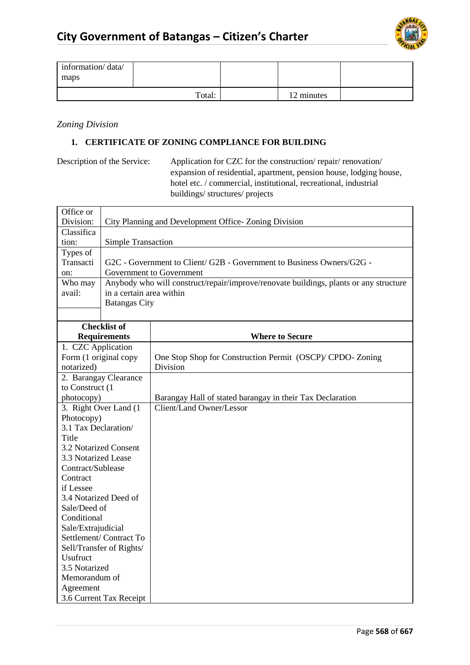

| information/data/<br>maps |        |            |  |
|---------------------------|--------|------------|--|
|                           | Total: | 12 minutes |  |

*Zoning Division*

#### **1. CERTIFICATE OF ZONING COMPLIANCE FOR BUILDING**

Description of the Service: Application for CZC for the construction/ repair/ renovation/ expansion of residential, apartment, pension house, lodging house, hotel etc. / commercial, institutional, recreational, industrial buildings/ structures/ projects

| Office or             |                                                      |                                                                                       |  |  |  |
|-----------------------|------------------------------------------------------|---------------------------------------------------------------------------------------|--|--|--|
| Division:             | City Planning and Development Office-Zoning Division |                                                                                       |  |  |  |
| Classifica            |                                                      |                                                                                       |  |  |  |
| tion:                 | <b>Simple Transaction</b>                            |                                                                                       |  |  |  |
| Types of              |                                                      |                                                                                       |  |  |  |
| Transacti             |                                                      | G2C - Government to Client/ G2B - Government to Business Owners/G2G -                 |  |  |  |
| on:                   |                                                      | Government to Government                                                              |  |  |  |
| Who may               |                                                      | Anybody who will construct/repair/improve/renovate buildings, plants or any structure |  |  |  |
| avail:                | in a certain area within                             |                                                                                       |  |  |  |
|                       | <b>Batangas City</b>                                 |                                                                                       |  |  |  |
|                       |                                                      |                                                                                       |  |  |  |
|                       | <b>Checklist of</b>                                  |                                                                                       |  |  |  |
|                       | <b>Requirements</b>                                  | <b>Where to Secure</b>                                                                |  |  |  |
| 1. CZC Application    |                                                      |                                                                                       |  |  |  |
| Form (1 original copy |                                                      | One Stop Shop for Construction Permit (OSCP)/ CPDO-Zoning                             |  |  |  |
| notarized)            |                                                      | Division                                                                              |  |  |  |
|                       | 2. Barangay Clearance                                |                                                                                       |  |  |  |
| to Construct (1       |                                                      |                                                                                       |  |  |  |
| photocopy)            |                                                      | Barangay Hall of stated barangay in their Tax Declaration                             |  |  |  |
|                       | 3. Right Over Land (1)<br>Client/Land Owner/Lessor   |                                                                                       |  |  |  |
| Photocopy)            |                                                      |                                                                                       |  |  |  |
| 3.1 Tax Declaration/  |                                                      |                                                                                       |  |  |  |
| Title                 |                                                      |                                                                                       |  |  |  |
|                       | 3.2 Notarized Consent                                |                                                                                       |  |  |  |
| 3.3 Notarized Lease   |                                                      |                                                                                       |  |  |  |
| Contract/Sublease     |                                                      |                                                                                       |  |  |  |
| Contract              |                                                      |                                                                                       |  |  |  |
| if Lessee             |                                                      |                                                                                       |  |  |  |
|                       | 3.4 Notarized Deed of                                |                                                                                       |  |  |  |
| Sale/Deed of          |                                                      |                                                                                       |  |  |  |
| Conditional           |                                                      |                                                                                       |  |  |  |
|                       | Sale/Extrajudicial                                   |                                                                                       |  |  |  |
|                       | Settlement/Contract To                               |                                                                                       |  |  |  |
|                       | Sell/Transfer of Rights/                             |                                                                                       |  |  |  |
| Usufruct              |                                                      |                                                                                       |  |  |  |
| 3.5 Notarized         |                                                      |                                                                                       |  |  |  |
| Memorandum of         |                                                      |                                                                                       |  |  |  |
| Agreement             |                                                      |                                                                                       |  |  |  |
|                       | 3.6 Current Tax Receipt                              |                                                                                       |  |  |  |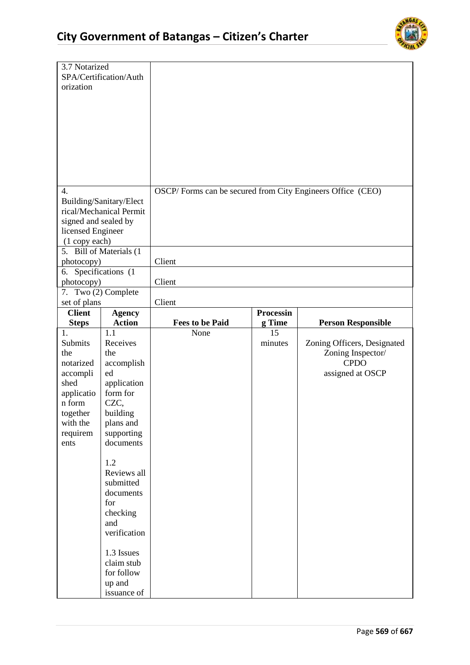

| 3.7 Notarized<br>orization                                                                                                | SPA/Certification/Auth                                                                                                                                                                                                      |                                                            |                  |                                                                                     |
|---------------------------------------------------------------------------------------------------------------------------|-----------------------------------------------------------------------------------------------------------------------------------------------------------------------------------------------------------------------------|------------------------------------------------------------|------------------|-------------------------------------------------------------------------------------|
| 4.<br>signed and sealed by<br>licensed Engineer<br>(1 copy each)                                                          | Building/Sanitary/Elect<br>rical/Mechanical Permit<br>5. Bill of Materials (1                                                                                                                                               | OSCP/Forms can be secured from City Engineers Office (CEO) |                  |                                                                                     |
| photocopy)                                                                                                                |                                                                                                                                                                                                                             | Client                                                     |                  |                                                                                     |
| 6. Specifications (1<br>photocopy)                                                                                        |                                                                                                                                                                                                                             | Client                                                     |                  |                                                                                     |
| set of plans                                                                                                              | 7. Two (2) Complete                                                                                                                                                                                                         | Client                                                     |                  |                                                                                     |
| <b>Client</b>                                                                                                             | <b>Agency</b>                                                                                                                                                                                                               |                                                            | <b>Processin</b> |                                                                                     |
| <b>Steps</b>                                                                                                              | <b>Action</b>                                                                                                                                                                                                               | <b>Fees to be Paid</b>                                     | g Time           | <b>Person Responsible</b>                                                           |
| 1.<br>Submits<br>the<br>notarized<br>accompli<br>shed<br>applicatio<br>n form<br>together<br>with the<br>requirem<br>ents | 1.1<br>Receives<br>the<br>accomplish<br>ed<br>application<br>form for<br>CZC,<br>building<br>plans and<br>supporting<br>documents<br>1.2<br>Reviews all<br>submitted<br>documents<br>for<br>checking<br>and<br>verification | None                                                       | 15<br>minutes    | Zoning Officers, Designated<br>Zoning Inspector/<br><b>CPDO</b><br>assigned at OSCP |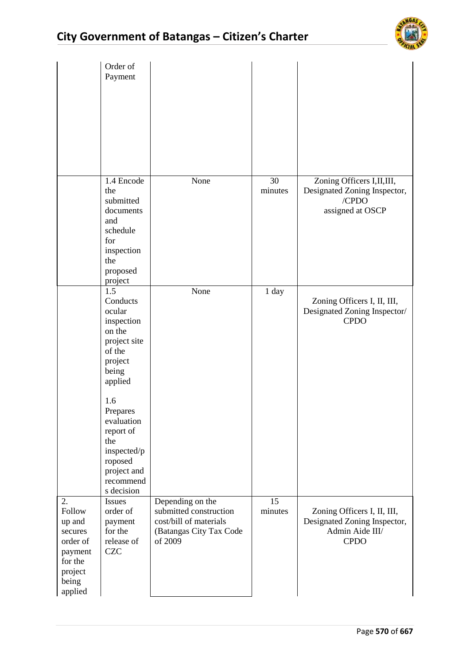

|                                                                                                    | Order of<br>Payment                                                                                                                                                                                                                 |                                                                                                            |               |                                                                                               |
|----------------------------------------------------------------------------------------------------|-------------------------------------------------------------------------------------------------------------------------------------------------------------------------------------------------------------------------------------|------------------------------------------------------------------------------------------------------------|---------------|-----------------------------------------------------------------------------------------------|
|                                                                                                    | 1.4 Encode<br>the<br>submitted<br>documents<br>and<br>schedule<br>for<br>inspection<br>the<br>proposed<br>project                                                                                                                   | None                                                                                                       | 30<br>minutes | Zoning Officers I, II, III,<br>Designated Zoning Inspector,<br>/CPDO<br>assigned at OSCP      |
|                                                                                                    | 1.5<br>Conducts<br>ocular<br>inspection<br>on the<br>project site<br>of the<br>project<br>being<br>applied<br>1.6<br>Prepares<br>evaluation<br>report of<br>the<br>inspected/p<br>roposed<br>project and<br>recommend<br>s decision | None                                                                                                       | 1 day         | Zoning Officers I, II, III,<br>Designated Zoning Inspector/<br><b>CPDO</b>                    |
| 2.<br>Follow<br>up and<br>secures<br>order of<br>payment<br>for the<br>project<br>being<br>applied | <b>Issues</b><br>order of<br>payment<br>for the<br>release of<br><b>CZC</b>                                                                                                                                                         | Depending on the<br>submitted construction<br>cost/bill of materials<br>(Batangas City Tax Code<br>of 2009 | 15<br>minutes | Zoning Officers I, II, III,<br>Designated Zoning Inspector,<br>Admin Aide III/<br><b>CPDO</b> |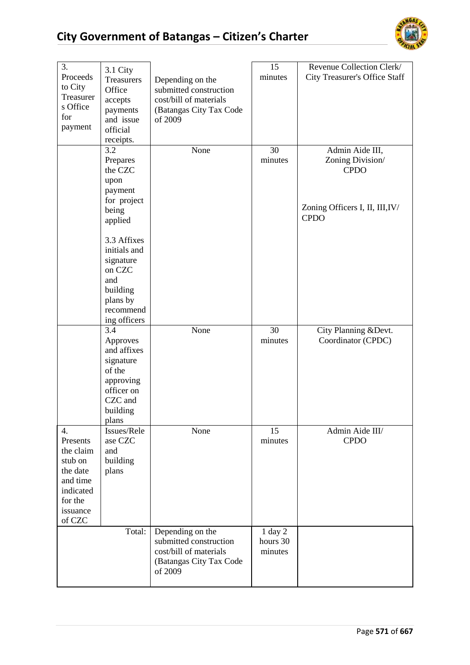

| 3.<br>Proceeds<br>to City<br>Treasurer<br>s Office<br>for<br>payment                                         | 3.1 City<br><b>Treasurers</b><br>Office<br>accepts<br>payments<br>and issue<br>official<br>receipts.                      | Depending on the<br>submitted construction<br>cost/bill of materials<br>(Batangas City Tax Code<br>of 2009 | 15<br>minutes                      | Revenue Collection Clerk/<br><b>City Treasurer's Office Staff</b>                                    |
|--------------------------------------------------------------------------------------------------------------|---------------------------------------------------------------------------------------------------------------------------|------------------------------------------------------------------------------------------------------------|------------------------------------|------------------------------------------------------------------------------------------------------|
|                                                                                                              | 3.2<br>Prepares<br>the CZC<br>upon<br>payment<br>for project<br>being                                                     | None                                                                                                       | 30<br>minutes                      | Admin Aide III,<br>Zoning Division/<br><b>CPDO</b><br>Zoning Officers I, II, III, IV/<br><b>CPDO</b> |
|                                                                                                              | applied<br>3.3 Affixes<br>initials and<br>signature<br>on CZC<br>and<br>building<br>plans by<br>recommend<br>ing officers |                                                                                                            |                                    |                                                                                                      |
|                                                                                                              | 3.4<br>Approves<br>and affixes<br>signature<br>of the<br>approving<br>officer on<br>CZC and<br>building<br>plans          | None                                                                                                       | 30<br>minutes                      | City Planning & Devt.<br>Coordinator (CPDC)                                                          |
| 4.<br>Presents<br>the claim<br>stub on<br>the date<br>and time<br>indicated<br>for the<br>issuance<br>of CZC | Issues/Rele<br>ase CZC<br>and<br>building<br>plans                                                                        | None                                                                                                       | 15<br>minutes                      | Admin Aide III/<br><b>CPDO</b>                                                                       |
|                                                                                                              | Total:                                                                                                                    | Depending on the<br>submitted construction<br>cost/bill of materials<br>(Batangas City Tax Code<br>of 2009 | $1$ day $2$<br>hours 30<br>minutes |                                                                                                      |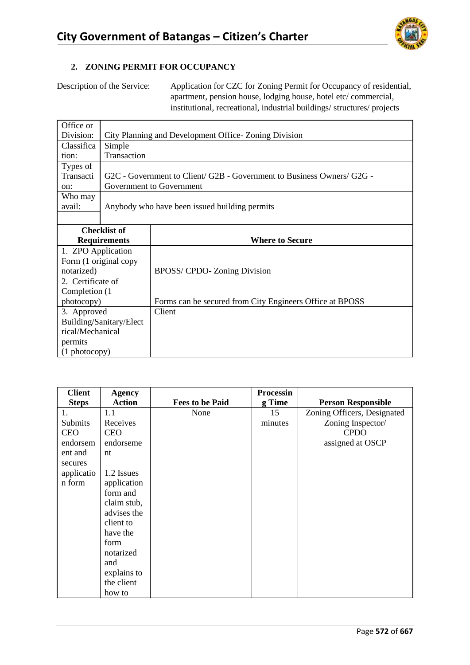

#### **2. ZONING PERMIT FOR OCCUPANCY**

Description of the Service: Application for CZC for Zoning Permit for Occupancy of residential, apartment, pension house, lodging house, hotel etc/ commercial, institutional, recreational, industrial buildings/ structures/ projects

| Office or               |                                                      |                                                                              |  |  |
|-------------------------|------------------------------------------------------|------------------------------------------------------------------------------|--|--|
| Division:               | City Planning and Development Office-Zoning Division |                                                                              |  |  |
| Classifica              | Simple                                               |                                                                              |  |  |
| tion:                   | Transaction                                          |                                                                              |  |  |
| Types of                |                                                      |                                                                              |  |  |
| Transacti               |                                                      | $G2C$ - Government to Client/ $G2B$ - Government to Business Owners/ $G2G$ - |  |  |
| on:                     |                                                      | Government to Government                                                     |  |  |
| Who may                 |                                                      |                                                                              |  |  |
| avail:                  |                                                      | Anybody who have been issued building permits                                |  |  |
|                         |                                                      |                                                                              |  |  |
|                         | <b>Checklist of</b>                                  |                                                                              |  |  |
|                         | <b>Requirements</b>                                  | <b>Where to Secure</b>                                                       |  |  |
| 1. ZPO Application      |                                                      |                                                                              |  |  |
| Form (1 original copy   |                                                      |                                                                              |  |  |
| notarized)              |                                                      | BPOSS/ CPDO- Zoning Division                                                 |  |  |
| 2. Certificate of       |                                                      |                                                                              |  |  |
| Completion (1           |                                                      |                                                                              |  |  |
| photocopy)              |                                                      | Forms can be secured from City Engineers Office at BPOSS                     |  |  |
| 3. Approved             |                                                      | Client                                                                       |  |  |
| Building/Sanitary/Elect |                                                      |                                                                              |  |  |
| rical/Mechanical        |                                                      |                                                                              |  |  |
| permits                 |                                                      |                                                                              |  |  |
| $(1 \text{ photocopy})$ |                                                      |                                                                              |  |  |

| <b>Client</b> | <b>Agency</b> |                        | <b>Processin</b> |                             |
|---------------|---------------|------------------------|------------------|-----------------------------|
| <b>Steps</b>  | <b>Action</b> | <b>Fees to be Paid</b> | g Time           | <b>Person Responsible</b>   |
| 1.            | 1.1           | None                   | 15               | Zoning Officers, Designated |
| Submits       | Receives      |                        | minutes          | Zoning Inspector/           |
| <b>CEO</b>    | <b>CEO</b>    |                        |                  | <b>CPDO</b>                 |
| endorsem      | endorseme     |                        |                  | assigned at OSCP            |
| ent and       | nt            |                        |                  |                             |
| secures       |               |                        |                  |                             |
| applicatio    | 1.2 Issues    |                        |                  |                             |
| n form        | application   |                        |                  |                             |
|               | form and      |                        |                  |                             |
|               | claim stub,   |                        |                  |                             |
|               | advises the   |                        |                  |                             |
|               | client to     |                        |                  |                             |
|               | have the      |                        |                  |                             |
|               | form          |                        |                  |                             |
|               | notarized     |                        |                  |                             |
|               | and           |                        |                  |                             |
|               | explains to   |                        |                  |                             |
|               | the client    |                        |                  |                             |
|               | how to        |                        |                  |                             |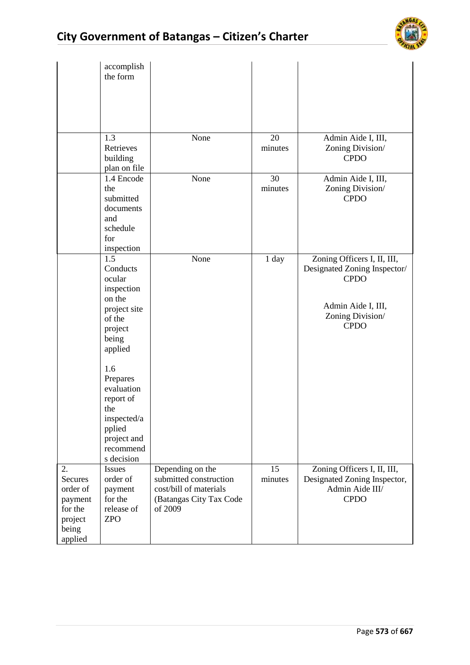

|                                                                                       | accomplish<br>the form                                                                                                                                                                                               |                                                                                                            |               |                                                                                                                                     |
|---------------------------------------------------------------------------------------|----------------------------------------------------------------------------------------------------------------------------------------------------------------------------------------------------------------------|------------------------------------------------------------------------------------------------------------|---------------|-------------------------------------------------------------------------------------------------------------------------------------|
|                                                                                       | 1.3<br>Retrieves<br>building<br>plan on file                                                                                                                                                                         | None                                                                                                       | 20<br>minutes | Admin Aide I, III,<br>Zoning Division/<br><b>CPDO</b>                                                                               |
|                                                                                       | 1.4 Encode<br>the<br>submitted<br>documents<br>and<br>schedule<br>for<br>inspection                                                                                                                                  | None                                                                                                       | 30<br>minutes | Admin Aide I, III,<br>Zoning Division/<br><b>CPDO</b>                                                                               |
|                                                                                       | 1.5<br>Conducts<br>ocular<br>inspection<br>on the<br>project site<br>of the<br>project<br>being<br>applied<br>1.6<br>Prepares<br>evaluation<br>report of<br>the<br>inspected/a<br>pplied<br>project and<br>recommend | None                                                                                                       | 1 day         | Zoning Officers I, II, III,<br>Designated Zoning Inspector/<br><b>CPDO</b><br>Admin Aide I, III,<br>Zoning Division/<br><b>CPDO</b> |
| 2.<br><b>Secures</b><br>order of<br>payment<br>for the<br>project<br>being<br>applied | s decision<br><b>Issues</b><br>order of<br>payment<br>for the<br>release of<br><b>ZPO</b>                                                                                                                            | Depending on the<br>submitted construction<br>cost/bill of materials<br>(Batangas City Tax Code<br>of 2009 | 15<br>minutes | Zoning Officers I, II, III,<br>Designated Zoning Inspector,<br>Admin Aide III/<br><b>CPDO</b>                                       |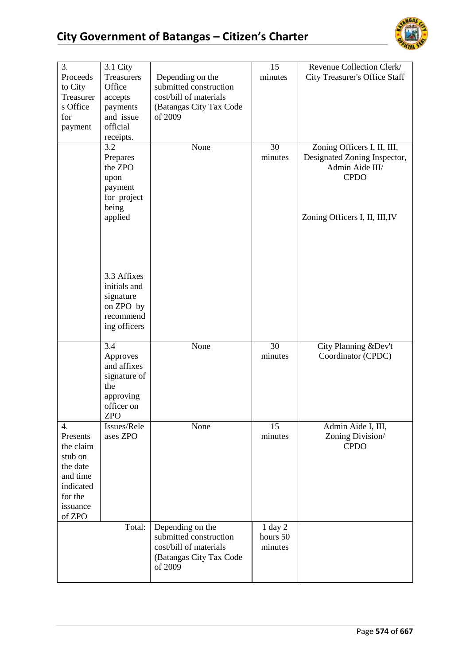

| 3.                                                                                                           |                                                                                    |                                                                                        | 15                  | Revenue Collection Clerk/                                                                                                       |
|--------------------------------------------------------------------------------------------------------------|------------------------------------------------------------------------------------|----------------------------------------------------------------------------------------|---------------------|---------------------------------------------------------------------------------------------------------------------------------|
| Proceeds                                                                                                     | 3.1 City<br>Treasurers                                                             |                                                                                        | minutes             |                                                                                                                                 |
|                                                                                                              |                                                                                    | Depending on the                                                                       |                     | <b>City Treasurer's Office Staff</b>                                                                                            |
| to City                                                                                                      | Office                                                                             | submitted construction                                                                 |                     |                                                                                                                                 |
| Treasurer                                                                                                    | accepts                                                                            | cost/bill of materials                                                                 |                     |                                                                                                                                 |
| s Office                                                                                                     | payments                                                                           | (Batangas City Tax Code                                                                |                     |                                                                                                                                 |
| for                                                                                                          | and issue                                                                          | of 2009                                                                                |                     |                                                                                                                                 |
| payment                                                                                                      | official                                                                           |                                                                                        |                     |                                                                                                                                 |
|                                                                                                              | receipts.                                                                          |                                                                                        |                     |                                                                                                                                 |
|                                                                                                              | 3.2<br>Prepares<br>the ZPO<br>upon<br>payment<br>for project<br>being<br>applied   | None                                                                                   | 30<br>minutes       | Zoning Officers I, II, III,<br>Designated Zoning Inspector,<br>Admin Aide III/<br><b>CPDO</b><br>Zoning Officers I, II, III, IV |
|                                                                                                              | 3.3 Affixes<br>initials and<br>signature<br>on ZPO by<br>recommend<br>ing officers |                                                                                        |                     |                                                                                                                                 |
|                                                                                                              | 3.4<br>Approves                                                                    | None                                                                                   | 30<br>minutes       | City Planning &Dev't<br>Coordinator (CPDC)                                                                                      |
|                                                                                                              | and affixes<br>signature of<br>the                                                 |                                                                                        |                     |                                                                                                                                 |
|                                                                                                              | approving                                                                          |                                                                                        |                     |                                                                                                                                 |
|                                                                                                              | officer on                                                                         |                                                                                        |                     |                                                                                                                                 |
|                                                                                                              | <b>ZPO</b>                                                                         |                                                                                        |                     |                                                                                                                                 |
| 4.<br>Presents<br>the claim<br>stub on<br>the date<br>and time<br>indicated<br>for the<br>issuance<br>of ZPO | Issues/Rele<br>ases ZPO                                                            | None                                                                                   | 15<br>minutes       | Admin Aide I, III,<br>Zoning Division/<br><b>CPDO</b>                                                                           |
|                                                                                                              | Total:                                                                             | Depending on the                                                                       | 1 day 2             |                                                                                                                                 |
|                                                                                                              |                                                                                    | submitted construction<br>cost/bill of materials<br>(Batangas City Tax Code<br>of 2009 | hours 50<br>minutes |                                                                                                                                 |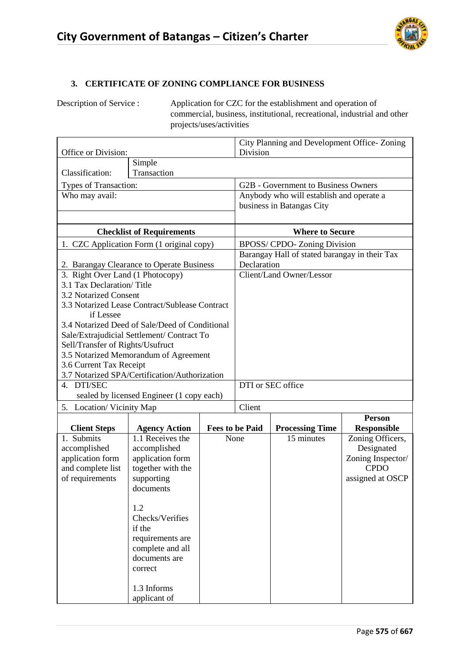

### **3. CERTIFICATE OF ZONING COMPLIANCE FOR BUSINESS**

Description of Service : Application for CZC for the establishment and operation of commercial, business, institutional, recreational, industrial and other projects/uses/activities

| Office or Division:                  |                                                |  | Division               | City Planning and Development Office-Zoning   |                                 |  |
|--------------------------------------|------------------------------------------------|--|------------------------|-----------------------------------------------|---------------------------------|--|
|                                      | Simple                                         |  |                        |                                               |                                 |  |
| Classification:                      | Transaction                                    |  |                        |                                               |                                 |  |
| Types of Transaction:                |                                                |  |                        | G2B - Government to Business Owners           |                                 |  |
| Who may avail:                       |                                                |  |                        | Anybody who will establish and operate a      |                                 |  |
|                                      |                                                |  |                        | business in Batangas City                     |                                 |  |
|                                      |                                                |  |                        |                                               |                                 |  |
|                                      | <b>Checklist of Requirements</b>               |  |                        | <b>Where to Secure</b>                        |                                 |  |
|                                      | 1. CZC Application Form (1 original copy)      |  |                        | BPOSS/ CPDO- Zoning Division                  |                                 |  |
|                                      |                                                |  |                        | Barangay Hall of stated barangay in their Tax |                                 |  |
|                                      | 2. Barangay Clearance to Operate Business      |  | Declaration            |                                               |                                 |  |
| 3. Right Over Land (1 Photocopy)     |                                                |  |                        | Client/Land Owner/Lessor                      |                                 |  |
| 3.1 Tax Declaration/Title            |                                                |  |                        |                                               |                                 |  |
| 3.2 Notarized Consent                |                                                |  |                        |                                               |                                 |  |
| if Lessee                            | 3.3 Notarized Lease Contract/Sublease Contract |  |                        |                                               |                                 |  |
|                                      | 3.4 Notarized Deed of Sale/Deed of Conditional |  |                        |                                               |                                 |  |
|                                      | Sale/Extrajudicial Settlement/ Contract To     |  |                        |                                               |                                 |  |
| Sell/Transfer of Rights/Usufruct     |                                                |  |                        |                                               |                                 |  |
|                                      | 3.5 Notarized Memorandum of Agreement          |  |                        |                                               |                                 |  |
| 3.6 Current Tax Receipt              |                                                |  |                        |                                               |                                 |  |
|                                      | 3.7 Notarized SPA/Certification/Authorization  |  |                        |                                               |                                 |  |
| 4. DTI/SEC                           |                                                |  | DTI or SEC office      |                                               |                                 |  |
|                                      | sealed by licensed Engineer (1 copy each)      |  |                        |                                               |                                 |  |
| 5. Location/Vicinity Map             |                                                |  | Client                 |                                               |                                 |  |
|                                      |                                                |  |                        |                                               | <b>Person</b>                   |  |
| <b>Client Steps</b>                  | <b>Agency Action</b>                           |  | <b>Fees to be Paid</b> | <b>Processing Time</b>                        | <b>Responsible</b>              |  |
| 1. Submits                           | 1.1 Receives the                               |  | None                   | 15 minutes                                    | Zoning Officers,                |  |
| accomplished                         | accomplished                                   |  |                        |                                               | Designated                      |  |
| application form                     | application form                               |  |                        |                                               | Zoning Inspector/               |  |
| and complete list<br>of requirements | together with the<br>supporting                |  |                        |                                               | <b>CPDO</b><br>assigned at OSCP |  |
|                                      | documents                                      |  |                        |                                               |                                 |  |
|                                      |                                                |  |                        |                                               |                                 |  |
|                                      | 1.2                                            |  |                        |                                               |                                 |  |
|                                      | Checks/Verifies                                |  |                        |                                               |                                 |  |
|                                      | if the                                         |  |                        |                                               |                                 |  |
|                                      | requirements are                               |  |                        |                                               |                                 |  |
|                                      | complete and all                               |  |                        |                                               |                                 |  |
|                                      | documents are                                  |  |                        |                                               |                                 |  |
|                                      | correct                                        |  |                        |                                               |                                 |  |
|                                      |                                                |  |                        |                                               |                                 |  |
|                                      | 1.3 Informs<br>applicant of                    |  |                        |                                               |                                 |  |
|                                      |                                                |  |                        |                                               |                                 |  |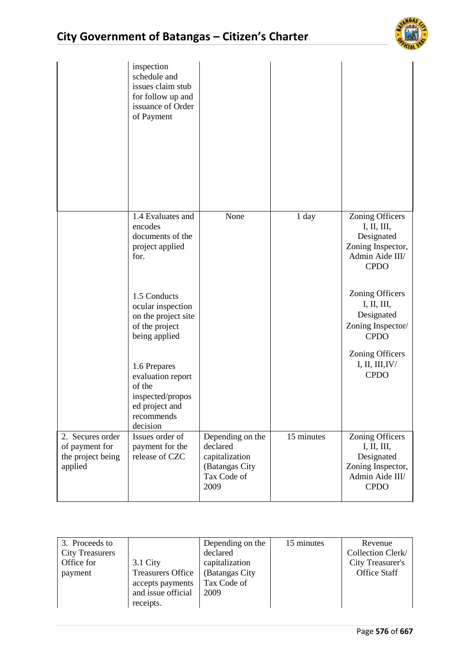

|                                                                    | inspection<br>schedule and<br>issues claim stub<br>for follow up and<br>issuance of Order<br>of Payment     |                                                                                         |            |                                                                                                                   |
|--------------------------------------------------------------------|-------------------------------------------------------------------------------------------------------------|-----------------------------------------------------------------------------------------|------------|-------------------------------------------------------------------------------------------------------------------|
|                                                                    | 1.4 Evaluates and<br>encodes<br>documents of the<br>project applied<br>for.                                 | None                                                                                    | 1 day      | Zoning Officers<br>I, II, III,<br>Designated<br>Zoning Inspector,<br>Admin Aide III/<br><b>CPDO</b>               |
|                                                                    | 1.5 Conducts<br>ocular inspection<br>on the project site<br>of the project<br>being applied                 |                                                                                         |            | <b>Zoning Officers</b><br>I, II, III,<br>Designated<br>Zoning Inspector/<br><b>CPDO</b><br><b>Zoning Officers</b> |
|                                                                    | 1.6 Prepares<br>evaluation report<br>of the<br>inspected/propos<br>ed project and<br>recommends<br>decision |                                                                                         |            | I, II, III, IV/<br><b>CPDO</b>                                                                                    |
| 2. Secures order<br>of payment for<br>the project being<br>applied | Issues order of<br>payment for the<br>release of CZC                                                        | Depending on the<br>declared<br>capitalization<br>(Batangas City<br>Tax Code of<br>2009 | 15 minutes | <b>Zoning Officers</b><br>I, II, III,<br>Designated<br>Zoning Inspector,<br>Admin Aide III/<br><b>CPDO</b>        |

| 3. Proceeds to         |                          | Depending on the | 15 minutes | Revenue             |
|------------------------|--------------------------|------------------|------------|---------------------|
| <b>City Treasurers</b> |                          | declared         |            | Collection Clerk/   |
| Office for             | $3.1$ City               | capitalization   |            | City Treasurer's    |
| payment                | <b>Treasurers Office</b> | (Batangas City)  |            | <b>Office Staff</b> |
|                        | accepts payments         | Tax Code of      |            |                     |
|                        | and issue official       | 2009             |            |                     |
|                        | receipts.                |                  |            |                     |
|                        |                          |                  |            |                     |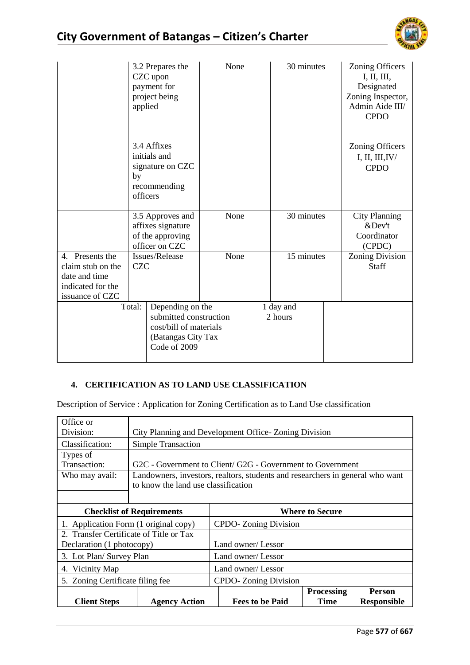

|                   | applied        | 3.2 Prepares the<br>CZC upon<br>payment for<br>project being                               | None | 30 minutes           | Zoning Officers<br>I, II, III,<br>Designated<br>Zoning Inspector,<br>Admin Aide III/<br><b>CPDO</b> |
|-------------------|----------------|--------------------------------------------------------------------------------------------|------|----------------------|-----------------------------------------------------------------------------------------------------|
|                   | by<br>officers | 3.4 Affixes<br>initials and<br>signature on CZC<br>recommending                            |      |                      | <b>Zoning Officers</b><br>I, II, III, IV/<br><b>CPDO</b>                                            |
|                   |                | 3.5 Approves and                                                                           | None | 30 minutes           | <b>City Planning</b>                                                                                |
|                   |                | affixes signature<br>of the approving                                                      |      |                      | &Dev't<br>Coordinator                                                                               |
|                   |                | officer on CZC                                                                             |      |                      | (CPDC)                                                                                              |
| 4. Presents the   |                | Issues/Release                                                                             | None | 15 minutes           | <b>Zoning Division</b>                                                                              |
| claim stub on the | <b>CZC</b>     |                                                                                            |      |                      | Staff                                                                                               |
| date and time     |                |                                                                                            |      |                      |                                                                                                     |
| indicated for the |                |                                                                                            |      |                      |                                                                                                     |
| issuance of CZC   |                |                                                                                            |      |                      |                                                                                                     |
|                   | Total:         | Depending on the<br>submitted construction<br>cost/bill of materials<br>(Batangas City Tax |      | 1 day and<br>2 hours |                                                                                                     |

### **4. CERTIFICATION AS TO LAND USE CLASSIFICATION**

Description of Service : Application for Zoning Certification as to Land Use classification

| Office or                               |                                                            |                                                                               |                   |                    |  |
|-----------------------------------------|------------------------------------------------------------|-------------------------------------------------------------------------------|-------------------|--------------------|--|
| Division:                               | City Planning and Development Office-Zoning Division       |                                                                               |                   |                    |  |
| Classification:                         | <b>Simple Transaction</b>                                  |                                                                               |                   |                    |  |
| Types of                                |                                                            |                                                                               |                   |                    |  |
| Transaction:                            |                                                            | G2C - Government to Client/ G2G - Government to Government                    |                   |                    |  |
| Who may avail:                          |                                                            | Landowners, investors, realtors, students and researchers in general who want |                   |                    |  |
|                                         | to know the land use classification                        |                                                                               |                   |                    |  |
|                                         |                                                            |                                                                               |                   |                    |  |
|                                         | <b>Where to Secure</b><br><b>Checklist of Requirements</b> |                                                                               |                   |                    |  |
| 1. Application Form (1 original copy)   |                                                            | <b>CPDO-</b> Zoning Division                                                  |                   |                    |  |
| 2. Transfer Certificate of Title or Tax |                                                            |                                                                               |                   |                    |  |
| Declaration (1 photocopy)               |                                                            | Land owner/Lessor                                                             |                   |                    |  |
| 3. Lot Plan/ Survey Plan                |                                                            | Land owner/ Lessor                                                            |                   |                    |  |
| 4. Vicinity Map                         |                                                            | Land owner/ Lessor                                                            |                   |                    |  |
| 5. Zoning Certificate filing fee        |                                                            | CPDO-Zoning Division                                                          |                   |                    |  |
|                                         |                                                            |                                                                               | <b>Processing</b> | <b>Person</b>      |  |
| <b>Client Steps</b>                     | <b>Agency Action</b>                                       | <b>Fees to be Paid</b>                                                        | Time              | <b>Responsible</b> |  |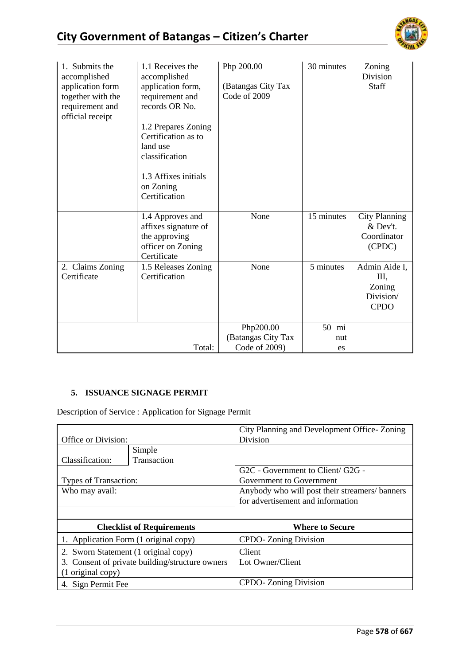

| 1. Submits the<br>accomplished<br>application form<br>together with the<br>requirement and<br>official receipt | 1.1 Receives the<br>accomplished<br>application form,<br>requirement and<br>records OR No.<br>1.2 Prepares Zoning<br>Certification as to<br>land use<br>classification<br>1.3 Affixes initials<br>on Zoning<br>Certification | Php 200.00<br>(Batangas City Tax<br>Code of 2009 | 30 minutes            | Zoning<br>Division<br>Staff                               |
|----------------------------------------------------------------------------------------------------------------|------------------------------------------------------------------------------------------------------------------------------------------------------------------------------------------------------------------------------|--------------------------------------------------|-----------------------|-----------------------------------------------------------|
|                                                                                                                | 1.4 Approves and<br>affixes signature of<br>the approving<br>officer on Zoning<br>Certificate                                                                                                                                | None                                             | 15 minutes            | <b>City Planning</b><br>& Dev't.<br>Coordinator<br>(CPDC) |
| 2. Claims Zoning<br>Certificate                                                                                | 1.5 Releases Zoning<br>Certification                                                                                                                                                                                         | None                                             | 5 minutes             | Admin Aide I,<br>Ш,<br>Zoning<br>Division/<br><b>CPDO</b> |
|                                                                                                                | Total:                                                                                                                                                                                                                       | Php200.00<br>(Batangas City Tax<br>Code of 2009) | 50<br>mi<br>nut<br>es |                                                           |

# **5. ISSUANCE SIGNAGE PERMIT**

Description of Service : Application for Signage Permit

|                                                 |                                       | City Planning and Development Office-Zoning   |
|-------------------------------------------------|---------------------------------------|-----------------------------------------------|
| Office or Division:                             |                                       | Division                                      |
|                                                 | Simple                                |                                               |
| Classification:                                 | Transaction                           |                                               |
|                                                 |                                       | G2C - Government to Client/ G2G -             |
| Types of Transaction:                           |                                       | Government to Government                      |
| Who may avail:                                  |                                       | Anybody who will post their streamers/banners |
|                                                 |                                       | for advertisement and information             |
|                                                 |                                       |                                               |
|                                                 | <b>Checklist of Requirements</b>      | <b>Where to Secure</b>                        |
|                                                 | 1. Application Form (1 original copy) | CPDO-Zoning Division                          |
| 2. Sworn Statement (1 original copy)            |                                       | Client                                        |
| 3. Consent of private building/structure owners |                                       | Lot Owner/Client                              |
| (1 original copy)                               |                                       |                                               |
| 4. Sign Permit Fee                              |                                       | <b>CPDO-</b> Zoning Division                  |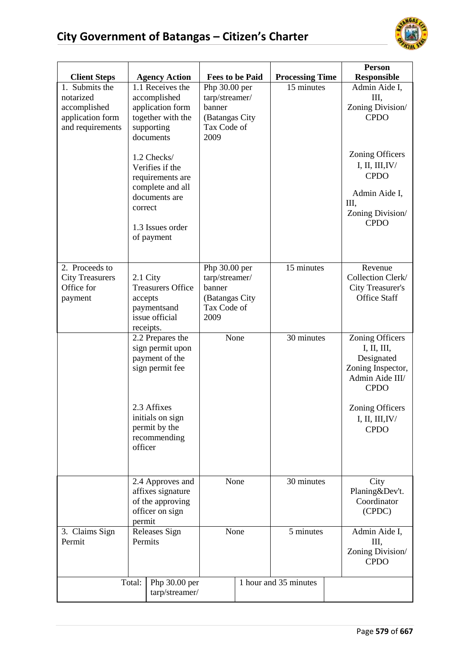

|                                                                                     |                                                                                                                                                                                                                                              |                                                                                    |                        | Person                                                                                                                                                                           |
|-------------------------------------------------------------------------------------|----------------------------------------------------------------------------------------------------------------------------------------------------------------------------------------------------------------------------------------------|------------------------------------------------------------------------------------|------------------------|----------------------------------------------------------------------------------------------------------------------------------------------------------------------------------|
| <b>Client Steps</b>                                                                 | <b>Agency Action</b>                                                                                                                                                                                                                         | <b>Fees to be Paid</b>                                                             | <b>Processing Time</b> | <b>Responsible</b>                                                                                                                                                               |
| 1. Submits the<br>notarized<br>accomplished<br>application form<br>and requirements | 1.1 Receives the<br>accomplished<br>application form<br>together with the<br>supporting<br>documents<br>1.2 Checks/<br>Verifies if the<br>requirements are<br>complete and all<br>documents are<br>correct<br>1.3 Issues order<br>of payment | Php 30.00 per<br>tarp/streamer/<br>banner<br>(Batangas City<br>Tax Code of<br>2009 | 15 minutes             | Admin Aide I,<br>III,<br>Zoning Division/<br><b>CPDO</b><br><b>Zoning Officers</b><br>I, II, III, IV/<br><b>CPDO</b><br>Admin Aide I,<br>III,<br>Zoning Division/<br><b>CPDO</b> |
| 2. Proceeds to                                                                      |                                                                                                                                                                                                                                              | Php 30.00 per                                                                      | 15 minutes             | Revenue                                                                                                                                                                          |
| <b>City Treasurers</b>                                                              | 2.1 City                                                                                                                                                                                                                                     | tarp/streamer/                                                                     |                        | Collection Clerk/                                                                                                                                                                |
| Office for<br>payment                                                               | <b>Treasurers Office</b><br>accepts                                                                                                                                                                                                          | banner<br>(Batangas City                                                           |                        | <b>City Treasurer's</b><br><b>Office Staff</b>                                                                                                                                   |
|                                                                                     | paymentsand                                                                                                                                                                                                                                  | Tax Code of                                                                        |                        |                                                                                                                                                                                  |
|                                                                                     | issue official                                                                                                                                                                                                                               | 2009                                                                               |                        |                                                                                                                                                                                  |
|                                                                                     | receipts.<br>2.2 Prepares the<br>sign permit upon<br>payment of the<br>sign permit fee<br>2.3 Affixes<br>initials on sign<br>permit by the<br>recommending<br>officer                                                                        | None                                                                               | 30 minutes             | <b>Zoning Officers</b><br>I, II, III,<br>Designated<br>Zoning Inspector,<br>Admin Aide III/<br><b>CPDO</b><br><b>Zoning Officers</b><br>I, II, III, IV/<br><b>CPDO</b>           |
|                                                                                     | 2.4 Approves and<br>affixes signature<br>of the approving<br>officer on sign<br>permit                                                                                                                                                       | None                                                                               | 30 minutes             | City<br>Planing&Dev't.<br>Coordinator<br>(CPDC)                                                                                                                                  |
| 3. Claims Sign                                                                      | <b>Releases Sign</b>                                                                                                                                                                                                                         | None                                                                               | 5 minutes              | Admin Aide I,                                                                                                                                                                    |
| Permit                                                                              | Permits                                                                                                                                                                                                                                      |                                                                                    |                        | III,<br>Zoning Division/<br><b>CPDO</b>                                                                                                                                          |
|                                                                                     | Total:<br>Php 30.00 per                                                                                                                                                                                                                      |                                                                                    | 1 hour and 35 minutes  |                                                                                                                                                                                  |
|                                                                                     | tarp/streamer/                                                                                                                                                                                                                               |                                                                                    |                        |                                                                                                                                                                                  |